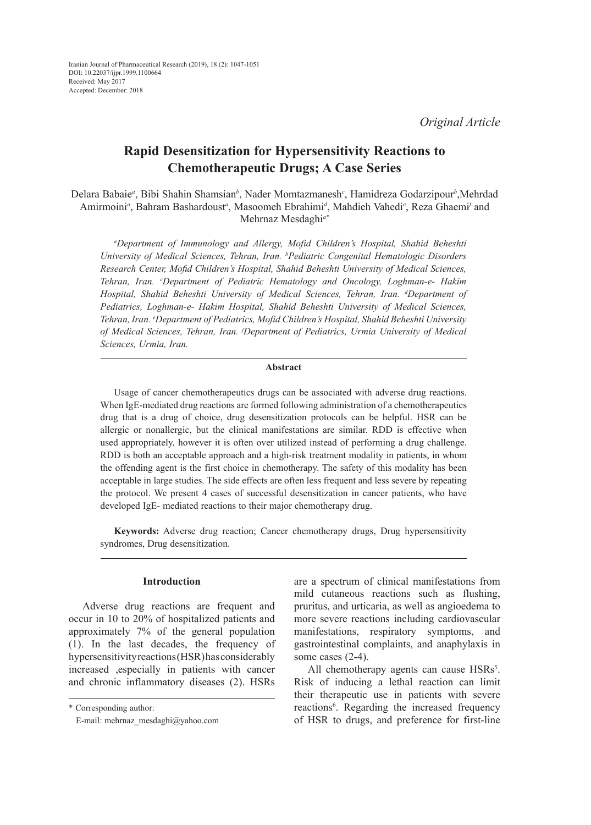# **Rapid Desensitization for Hypersensitivity Reactions to Chemotherapeutic Drugs; A Case Series**

Delara Babaie*<sup>a</sup>* , Bibi Shahin Shamsian*<sup>b</sup>* , Nader Momtazmanesh*<sup>c</sup>* , Hamidreza Godarzipour*<sup>b</sup>* ,Mehrdad Amirmoini<sup>a</sup>, Bahram Bashardoust<sup>a</sup>, Masoomeh Ebrahimi<sup>d</sup>, Mahdieh Vahedi<sup>e</sup>, Reza Ghaemi<sup>f</sup> and Mehrnaz Mesdaghi*a\**

*a Department of Immunology and Allergy, Mofid Children's Hospital, Shahid Beheshti University of Medical Sciences, Tehran, Iran. b Pediatric Congenital Hematologic Disorders Research Center, Mofid Children's Hospital, Shahid Beheshti University of Medical Sciences, Tehran, Iran. <sup>c</sup> Department of Pediatric Hematology and Oncology, Loghman-e- Hakim Hospital, Shahid Beheshti University of Medical Sciences, Tehran, Iran. d Department of Pediatrics, Loghman-e- Hakim Hospital, Shahid Beheshti University of Medical Sciences, Tehran, Iran. e Department of Pediatrics, Mofid Children's Hospital, Shahid Beheshti University of Medical Sciences, Tehran, Iran. f Department of Pediatrics, Urmia University of Medical Sciences, Urmia, Iran.*

# **Abstract**

Usage of cancer chemotherapeutics drugs can be associated with adverse drug reactions. When IgE-mediated drug reactions are formed following administration of a chemotherapeutics drug that is a drug of choice, drug desensitization protocols can be helpful. HSR can be allergic or nonallergic, but the clinical manifestations are similar. RDD is effective when used appropriately, however it is often over utilized instead of performing a drug challenge. RDD is both an acceptable approach and a high-risk treatment modality in patients, in whom the offending agent is the first choice in chemotherapy. The safety of this modality has been acceptable in large studies. The side effects are often less frequent and less severe by repeating the protocol. We present 4 cases of successful desensitization in cancer patients, who have developed IgE- mediated reactions to their major chemotherapy drug.

**Keywords:** Adverse drug reaction; Cancer chemotherapy drugs, Drug hypersensitivity syndromes, Drug desensitization.

# **Introduction**

Adverse drug reactions are frequent and occur in 10 to 20% of hospitalized patients and approximately 7% of the general population (1). In the last decades, the frequency of hypersensitivity reactions (HSR) has considerably increased ,especially in patients with cancer and chronic inflammatory diseases (2). HSRs

\* Corresponding author:

are a spectrum of clinical manifestations from mild cutaneous reactions such as flushing, pruritus, and urticaria, as well as angioedema to more severe reactions including cardiovascular manifestations, respiratory symptoms, and gastrointestinal complaints, and anaphylaxis in some cases  $(2-4)$ .

All chemotherapy agents can cause HSRs<sup>5</sup>. Risk of inducing a lethal reaction can limit their therapeutic use in patients with severe reactions<sup>6</sup>. Regarding the increased frequency of HSR to drugs, and preference for first-line

E-mail: mehrnaz\_mesdaghi@yahoo.com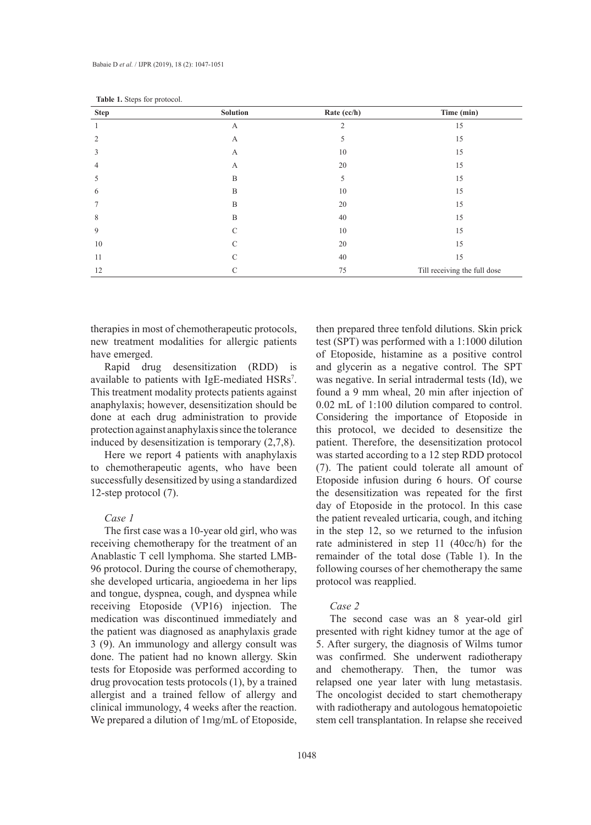| Answer as supply for provessors<br><b>Step</b> | Solution | Rate (cc/h) | Time (min)                   |
|------------------------------------------------|----------|-------------|------------------------------|
|                                                | А        | 2           | 15                           |
| $\overline{2}$                                 | А        | 5           | 15                           |
| 3                                              | А        | 10          | 15                           |
| 4                                              | А        | 20          | 15                           |
| 5                                              | B        | 5           | 15                           |
| 6                                              | B        | 10          | 15                           |
|                                                | B        | 20          | 15                           |
| 8                                              | B        | 40          | 15                           |
| 9                                              | С        | 10          | 15                           |
| 10                                             | C        | 20          | 15                           |
| 11                                             | C        | 40          | 15                           |
| 12                                             | С        | 75          | Till receiving the full dose |

Table 1. Steps for protocol.

therapies in most of chemotherapeutic protocols, new treatment modalities for allergic patients have emerged.

Rapid drug desensitization (RDD) is available to patients with IgE-mediated HSRs<sup>7</sup>. This treatment modality protects patients against anaphylaxis; however, desensitization should be done at each drug administration to provide protection against anaphylaxis since the tolerance induced by desensitization is temporary (2,7,8).

Here we report 4 patients with anaphylaxis to chemotherapeutic agents, who have been successfully desensitized by using a standardized 12-step protocol (7).

## *Case 1*

The first case was a 10-year old girl, who was receiving chemotherapy for the treatment of an Anablastic T cell lymphoma. She started LMB-96 protocol. During the course of chemotherapy, she developed urticaria, angioedema in her lips and tongue, dyspnea, cough, and dyspnea while receiving Etoposide (VP16) injection. The medication was discontinued immediately and the patient was diagnosed as anaphylaxis grade 3 (9). An immunology and allergy consult was done. The patient had no known allergy. Skin tests for Etoposide was performed according to drug provocation tests protocols (1), by a trained allergist and a trained fellow of allergy and clinical immunology, 4 weeks after the reaction. We prepared a dilution of 1mg/mL of Etoposide, then prepared three tenfold dilutions. Skin prick test (SPT) was performed with a 1:1000 dilution of Etoposide, histamine as a positive control and glycerin as a negative control. The SPT was negative. In serial intradermal tests (Id), we found a 9 mm wheal, 20 min after injection of 0.02 mL of 1:100 dilution compared to control. Considering the importance of Etoposide in this protocol, we decided to desensitize the patient. Therefore, the desensitization protocol was started according to a 12 step RDD protocol (7). The patient could tolerate all amount of Etoposide infusion during 6 hours. Of course the desensitization was repeated for the first day of Etoposide in the protocol. In this case the patient revealed urticaria, cough, and itching in the step 12, so we returned to the infusion rate administered in step 11 (40cc/h) for the remainder of the total dose (Table 1). In the following courses of her chemotherapy the same protocol was reapplied.

#### *Case 2*

The second case was an 8 year-old girl presented with right kidney tumor at the age of 5. After surgery, the diagnosis of Wilms tumor was confirmed. She underwent radiotherapy and chemotherapy. Then, the tumor was relapsed one year later with lung metastasis. The oncologist decided to start chemotherapy with radiotherapy and autologous hematopoietic stem cell transplantation. In relapse she received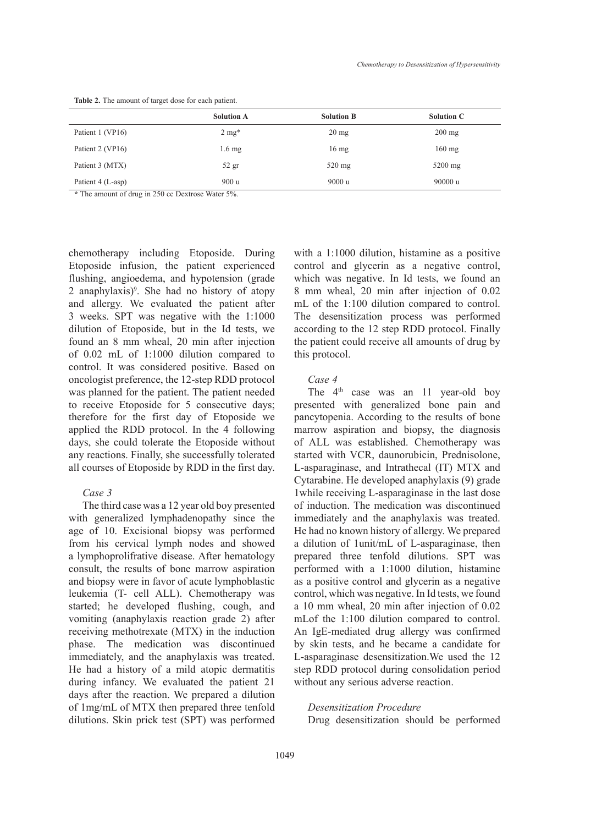|                   | <b>Solution A</b> | <b>Solution B</b> | <b>Solution C</b> |
|-------------------|-------------------|-------------------|-------------------|
| Patient 1 (VP16)  | $2 \text{ mg}^*$  | $20 \text{ mg}$   | $200 \text{ mg}$  |
| Patient 2 (VP16)  | $1.6 \text{ mg}$  | $16 \text{ mg}$   | $160$ mg          |
| Patient 3 (MTX)   | $52$ gr           | $520$ mg          | $5200$ mg         |
| Patient 4 (L-asp) | 900 u             | 9000 u            | 90000 u           |

**Table 2.** The amount of target dose for each patient.

**\*** The amount of drug in 250 cc Dextrose Water 5%.

chemotherapy including Etoposide. During Etoposide infusion, the patient experienced flushing, angioedema, and hypotension (grade 2 anaphylaxis)9 . She had no history of atopy and allergy. We evaluated the patient after 3 weeks. SPT was negative with the 1:1000 dilution of Etoposide, but in the Id tests, we found an 8 mm wheal, 20 min after injection of 0.02 mL of 1:1000 dilution compared to control. It was considered positive. Based on oncologist preference, the 12-step RDD protocol was planned for the patient. The patient needed to receive Etoposide for 5 consecutive days; therefore for the first day of Etoposide we applied the RDD protocol. In the 4 following days, she could tolerate the Etoposide without any reactions. Finally, she successfully tolerated all courses of Etoposide by RDD in the first day.

## *Case 3*

The third case was a 12 year old boy presented with generalized lymphadenopathy since the age of 10. Excisional biopsy was performed from his cervical lymph nodes and showed a lymphoprolifrative disease. After hematology consult, the results of bone marrow aspiration and biopsy were in favor of acute lymphoblastic leukemia (T- cell ALL). Chemotherapy was started; he developed flushing, cough, and vomiting (anaphylaxis reaction grade 2) after receiving methotrexate (MTX) in the induction phase. The medication was discontinued immediately, and the anaphylaxis was treated. He had a history of a mild atopic dermatitis during infancy. We evaluated the patient 21 days after the reaction. We prepared a dilution of 1mg/mL of MTX then prepared three tenfold dilutions. Skin prick test (SPT) was performed with a 1:1000 dilution, histamine as a positive control and glycerin as a negative control, which was negative. In Id tests, we found an 8 mm wheal, 20 min after injection of 0.02 mL of the 1:100 dilution compared to control. The desensitization process was performed according to the 12 step RDD protocol. Finally the patient could receive all amounts of drug by this protocol.

#### *Case 4*

The 4<sup>th</sup> case was an 11 year-old boy presented with generalized bone pain and pancytopenia. According to the results of bone marrow aspiration and biopsy, the diagnosis of ALL was established. Chemotherapy was started with VCR, daunorubicin, Prednisolone, L-asparaginase, and Intrathecal (IT) MTX and Cytarabine. He developed anaphylaxis (9) grade 1while receiving L-asparaginase in the last dose of induction. The medication was discontinued immediately and the anaphylaxis was treated. He had no known history of allergy. We prepared a dilution of 1unit/mL of L-asparaginase, then prepared three tenfold dilutions. SPT was performed with a 1:1000 dilution, histamine as a positive control and glycerin as a negative control, which was negative. In Id tests, we found a 10 mm wheal, 20 min after injection of 0.02 mLof the 1:100 dilution compared to control. An IgE-mediated drug allergy was confirmed by skin tests, and he became a candidate for L-asparaginase desensitization.We used the 12 step RDD protocol during consolidation period without any serious adverse reaction.

#### *Desensitization Procedure*

Drug desensitization should be performed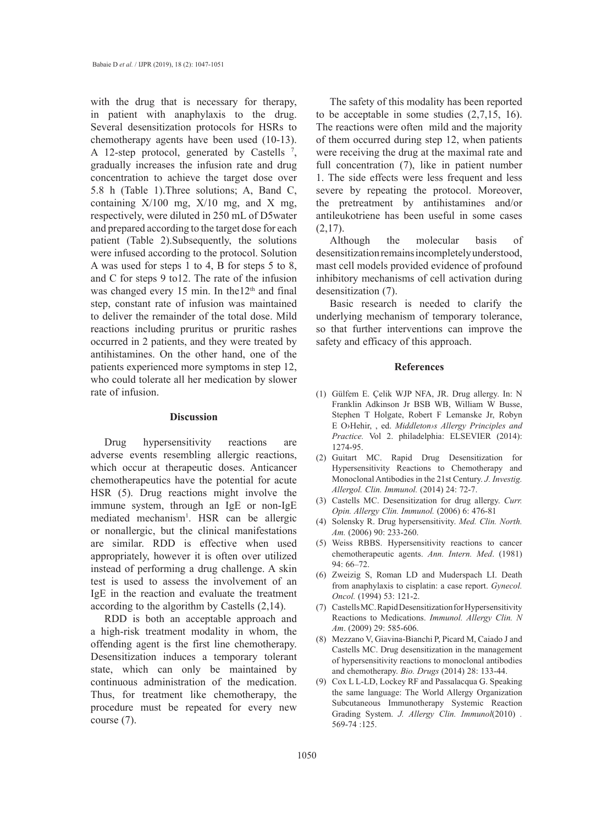with the drug that is necessary for therapy, in patient with anaphylaxis to the drug. Several desensitization protocols for HSRs to chemotherapy agents have been used (10-13). A 12-step protocol, generated by Castells  $^7$ , gradually increases the infusion rate and drug concentration to achieve the target dose over 5.8 h (Table 1).Three solutions; A, Band C, containing  $X/100$  mg,  $X/10$  mg, and X mg, respectively, were diluted in 250 mL of D5water and prepared according to the target dose for each patient (Table 2).Subsequently, the solutions were infused according to the protocol. Solution A was used for steps 1 to 4, B for steps 5 to 8, and C for steps 9 to12. The rate of the infusion was changed every 15 min. In the  $12<sup>th</sup>$  and final step, constant rate of infusion was maintained to deliver the remainder of the total dose. Mild reactions including pruritus or pruritic rashes occurred in 2 patients, and they were treated by antihistamines. On the other hand, one of the patients experienced more symptoms in step 12, who could tolerate all her medication by slower rate of infusion.

#### **Discussion**

Drug hypersensitivity reactions are adverse events resembling allergic reactions, which occur at therapeutic doses. Anticancer chemotherapeutics have the potential for acute HSR (5). Drug reactions might involve the immune system, through an IgE or non-IgE mediated mechanism<sup>1</sup>. HSR can be allergic or nonallergic, but the clinical manifestations are similar. RDD is effective when used appropriately, however it is often over utilized instead of performing a drug challenge. A skin test is used to assess the involvement of an IgE in the reaction and evaluate the treatment according to the algorithm by Castells (2,14).

RDD is both an acceptable approach and a high-risk treatment modality in whom, the offending agent is the first line chemotherapy. Desensitization induces a temporary tolerant state, which can only be maintained by continuous administration of the medication. Thus, for treatment like chemotherapy, the procedure must be repeated for every new course (7).

The safety of this modality has been reported to be acceptable in some studies (2,7,15, 16). The reactions were often mild and the majority of them occurred during step 12, when patients were receiving the drug at the maximal rate and full concentration (7), like in patient number 1. The side effects were less frequent and less severe by repeating the protocol. Moreover, the pretreatment by antihistamines and/or antileukotriene has been useful in some cases (2,17).

Although the molecular basis of desensitization remains incompletely understood, mast cell models provided evidence of profound inhibitory mechanisms of cell activation during desensitization (7).

Basic research is needed to clarify the underlying mechanism of temporary tolerance, so that further interventions can improve the safety and efficacy of this approach.

#### **References**

- Gülfem E. Çelik WJP NFA, JR. Drug allergy. In: N (1) Franklin Adkinson Jr BSB WB, William W Busse, Stephen T Holgate, Robert F Lemanske Jr, Robyn E O›Hehir, , ed. *Middleton›s Allergy Principles and Practice.* Vol 2. philadelphia: ELSEVIER (2014): 1274-95.
- (2) Guitart MC. Rapid Drug Desensitization for Hypersensitivity Reactions to Chemotherapy and Monoclonal Antibodies in the 21st Century. *J. Investig. Allergol. Clin. Immunol.* (2014) 24: 72-7.
- (3) Castells MC. Desensitization for drug allergy. *Curr. Opin. Allergy Clin. Immunol.* (2006) 6: 476-81
- (4) Solensky R. Drug hypersensitivity. *Med. Clin. North. Am.* (2006) 90: 233-260.
- Weiss RBBS. Hypersensitivity reactions to cancer (5) chemotherapeutic agents. *Ann. Intern. Med*. (1981) 94: 66–72.
- (6) Zweizig S, Roman LD and Muderspach LI. Death from anaphylaxis to cisplatin: a case report. *Gynecol. Oncol.* (1994) 53: 121-2.
- (7) Castells MC. Rapid Desensitization for Hypersensitivity Reactions to Medications. *Immunol. Allergy Clin. N Am*. (2009) 29: 585-606.
- Mezzano V, Giavina-Bianchi P, Picard M, Caiado J and (8) Castells MC. Drug desensitization in the management of hypersensitivity reactions to monoclonal antibodies and chemotherapy. *Bio. Drugs* (2014) 28: 133-44.
- (9) Cox L L-LD, Lockey RF and Passalacqua G. Speaking the same language: The World Allergy Organization Subcutaneous Immunotherapy Systemic Reaction Grading System. *J. Allergy Clin. Immunol*(2010) . 569-74 :125.